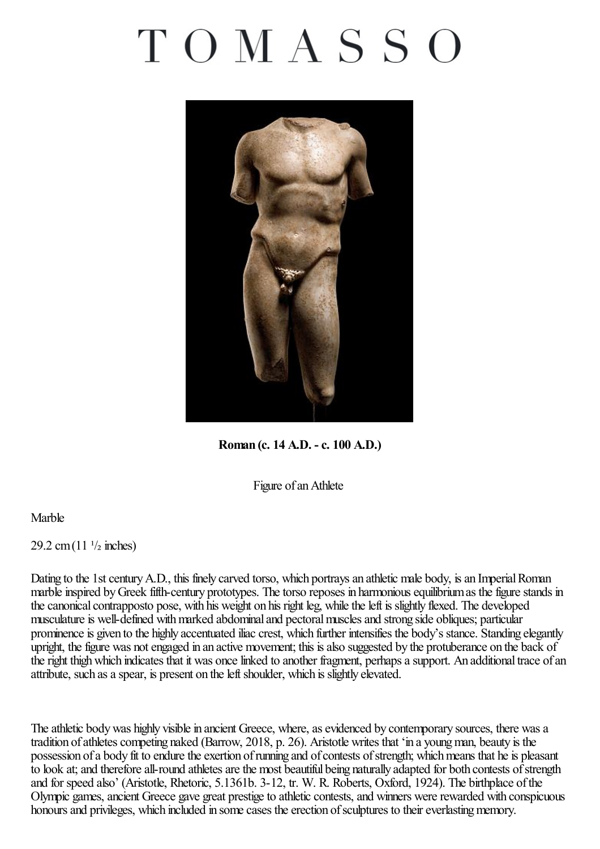## TOMASSO



**Roman (c. 14 A.D. -c. 100 A.D.)**

Figure of an Athlete

## Marble

 $29.2$  cm $(11<sup>1</sup>/2$  inches)

Dating to the 1st century A.D., this finely carved torso, which portrays an athletic male body, is an Imperial Roman marble inspired by Greek fifth-century prototypes. The torso reposes in harmonious equilibrium as the figure stands in the canonical contrapposto pose, with his weight on his right leg, while the left is slightly flexed. The developed musculature is well-defined with marked abdominal and pectoral muscles and strong side obliques; particular prominence is given to the highly accentuated iliac crest, which further intensifies the body's stance. Standing elegantly upright, the figure was not engaged in an active movement; this is also suggested by the protuberance on the back of the right thigh which indicates that it was once linked to another fragment, perhaps a support. An additional trace of an attribute, such as a spear, is present on the left shoulder, which is slightly elevated.

The athletic body was highly visible in ancient Greece, where, as evidenced by contemporary sources, there was a tradition of athletes competing naked (Barrow, 2018, p. 26). Aristotle writes that 'in a young man, beauty is the possession of a body fit to endure the exertion of running and of contests of strength; which means that he is pleasant to look at; and therefore all-round athletes are the most beautiful being naturally adapted for both contests of strength and for speed also' (Aristotle, Rhetoric, 5.1361b. 3-12, tr. W. R. Roberts, Oxford, 1924). The birthplace ofthe Olympic games, ancient Greece gave great prestige to athletic contests, and winners were rewarded with conspicuous honours and privileges, which included in some cases the erection of sculptures to their everlasting memory.